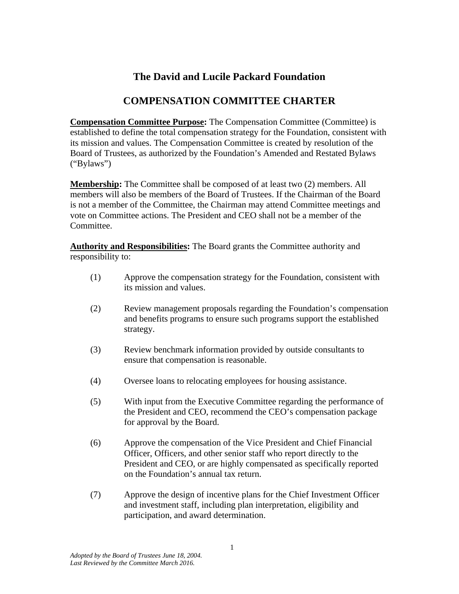## **The David and Lucile Packard Foundation**

## **COMPENSATION COMMITTEE CHARTER**

**Compensation Committee Purpose:** The Compensation Committee (Committee) is established to define the total compensation strategy for the Foundation, consistent with its mission and values. The Compensation Committee is created by resolution of the Board of Trustees, as authorized by the Foundation's Amended and Restated Bylaws ("Bylaws")

**Membership:** The Committee shall be composed of at least two (2) members. All members will also be members of the Board of Trustees. If the Chairman of the Board is not a member of the Committee, the Chairman may attend Committee meetings and vote on Committee actions. The President and CEO shall not be a member of the Committee.

**Authority and Responsibilities:** The Board grants the Committee authority and responsibility to:

- (1) Approve the compensation strategy for the Foundation, consistent with its mission and values.
- (2) Review management proposals regarding the Foundation's compensation and benefits programs to ensure such programs support the established strategy.
- (3) Review benchmark information provided by outside consultants to ensure that compensation is reasonable.
- (4) Oversee loans to relocating employees for housing assistance.
- (5) With input from the Executive Committee regarding the performance of the President and CEO, recommend the CEO's compensation package for approval by the Board.
- (6) Approve the compensation of the Vice President and Chief Financial Officer, Officers, and other senior staff who report directly to the President and CEO, or are highly compensated as specifically reported on the Foundation's annual tax return.
- (7) Approve the design of incentive plans for the Chief Investment Officer and investment staff, including plan interpretation, eligibility and participation, and award determination.